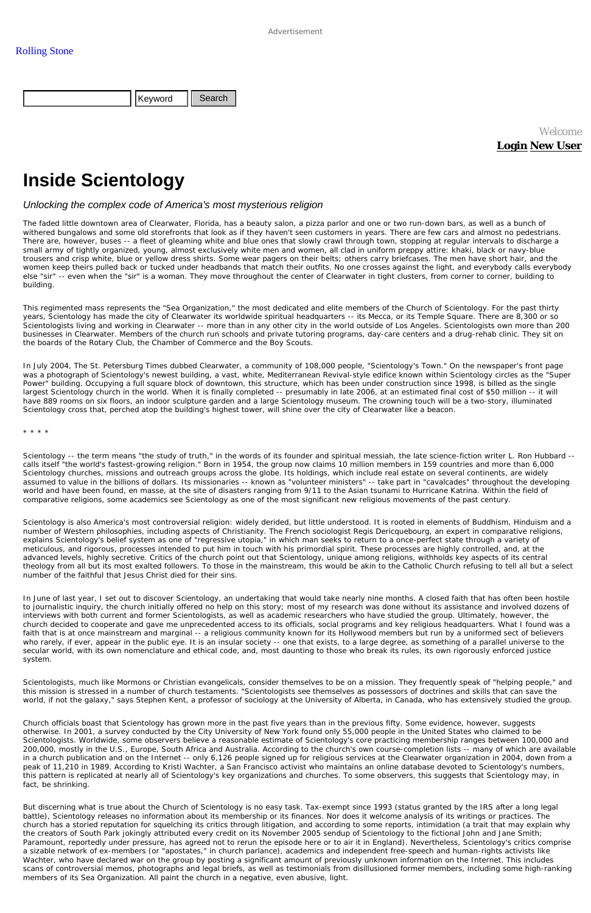## [Rolling Stone](http://www.rollingstone.com/?pageid=rs.page.politics.story)

## Welcome **[Login](https://www.rollingstone.com/community/account/login?origin=http://www.rollingstone.com/politics/story/9363363/inside_scientology) [New User](https://www.rollingstone.com/community/account/register?origin=http://www.rollingstone.com/politics/story/9363363/inside_scientology)**

# **Inside Scientology**

## Unlocking the complex code of America's most mysterious religion

The faded little downtown area of Clearwater, Florida, has a beauty salon, a pizza parlor and one or two run-down bars, as well as a bunch of withered bungalows and some old storefronts that look as if they haven't seen customers in years. There are few cars and almost no pedestrians. There are, however, buses -- a fleet of gleaming white and blue ones that slowly crawl through town, stopping at regular intervals to discharge a small army of tightly organized, young, almost exclusively white men and women, all clad in uniform preppy attire: khaki, black or navy-blue trousers and crisp white, blue or yellow dress shirts. Some wear pagers on their belts; others carry briefcases. The men have short hair, and the women keep theirs pulled back or tucked under headbands that match their outfits. No one crosses against the light, and everybody calls everybody else "sir" -- even when the "sir" is a woman. They move throughout the center of Clearwater in tight clusters, from corner to corner, building to building.

This regimented mass represents the "Sea Organization," the most dedicated and elite members of the Church of Scientology. For the past thirty years, Scientology has made the city of Clearwater its worldwide spiritual headquarters -- its Mecca, or its Temple Square. There are 8,300 or so Scientologists living and working in Clearwater -- more than in any other city in the world outside of Los Angeles. Scientologists own more than 200 businesses in Clearwater. Members of the church run schools and private tutoring programs, day-care centers and a drug-rehab clinic. They sit on the boards of the Rotary Club, the Chamber of Commerce and the Boy Scouts.

Scientology -- the term means "the study of truth," in the words of its founder and spiritual messiah, the late science-fiction writer L. Ron Hubbard -calls itself "the world's fastest-growing religion." Born in 1954, the group now claims 10 million members in 159 countries and more than 6,000 Scientology churches, missions and outreach groups across the globe. Its holdings, which include real estate on several continents, are widely assumed to value in the billions of dollars. Its missionaries -- known as "volunteer ministers" -- take part in "cavalcades" throughout the developing world and have been found, en masse, at the site of disasters ranging from 9/11 to the Asian tsunami to Hurricane Katrina. Within the field of comparative religions, some academics see Scientology as one of the most significant new religious movements of the past century.

In July 2004, *The St. Petersburg Times* dubbed Clearwater, a community of 108,000 people, "Scientology's Town." On the newspaper's front page was a photograph of Scientology's newest building, a vast, white, Mediterranean Revival-style edifice known within Scientology circles as the "Super Power" building. Occupying a full square block of downtown, this structure, which has been under construction since 1998, is billed as the single largest Scientology church in the world. When it is finally completed -- presumably in late 2006, at an estimated final cost of \$50 million -- it will have 889 rooms on six floors, an indoor sculpture garden and a large Scientology museum. The crowning touch will be a two-story, illuminated Scientology cross that, perched atop the building's highest tower, will shine over the city of Clearwater like a beacon.

\* \* \* \*

Scientology is also America's most controversial religion: widely derided, but little understood. It is rooted in elements of Buddhism, Hinduism and a number of Western philosophies, including aspects of Christianity. The French sociologist Regis Dericquebourg, an expert in comparative religions, explains Scientology's belief system as one of "regressive utopia," in which man seeks to return to a once-perfect state through a variety of meticulous, and rigorous, processes intended to put him in touch with his primordial spirit. These processes are highly controlled, and, at the advanced levels, highly secretive. Critics of the church point out that Scientology, unique among religions, withholds key aspects of its central theology from all but its most exalted followers. To those in the mainstream, this would be akin to the Catholic Church refusing to tell all but a select number of the faithful that Jesus Christ died for their sins.

In June of last year, I set out to discover Scientology, an undertaking that would take nearly nine months. A closed faith that has often been hostile to journalistic inquiry, the church initially offered no help on this story; most of my research was done without its assistance and involved dozens of interviews with both current and former Scientologists, as well as academic researchers who have studied the group. Ultimately, however, the church decided to cooperate and gave me unprecedented access to its officials, social programs and key religious headquarters. What I found was a faith that is at once mainstream and marginal -- a religious community known for its Hollywood members but run by a uniformed sect of believers who rarely, if ever, appear in the public eye. It is an insular society -- one that exists, to a large degree, as something of a parallel universe to the secular world, with its own nomenclature and ethical code, and, most daunting to those who break its rules, its own rigorously enforced justice system.

Scientologists, much like Mormons or Christian evangelicals, consider themselves to be on a mission. They frequently speak of "helping people," and this mission is stressed in a number of church testaments. "Scientologists see themselves as possessors of doctrines and skills that can save the world, if not the galaxy," says Stephen Kent, a professor of sociology at the University of Alberta, in Canada, who has extensively studied the group.

Church officials boast that Scientology has grown more in the past five years than in the previous fifty. Some evidence, however, suggests otherwise. In 2001, a survey conducted by the City University of New York found only 55,000 people in the United States who claimed to be Scientologists. Worldwide, some observers believe a reasonable estimate of Scientology's core practicing membership ranges between 100,000 and 200,000, mostly in the U.S., Europe, South Africa and Australia. According to the church's own course-completion lists -- many of which are available in a church publication and on the Internet -- only 6,126 people signed up for religious services at the Clearwater organization in 2004, down from a peak of 11,210 in 1989. According to Kristi Wachter, a San Francisco activist who maintains an online database devoted to Scientology's numbers, this pattern is replicated at nearly all of Scientology's key organizations and churches. To some observers, this suggests that Scientology may, in fact, be shrinking.

But discerning what is true about the Church of Scientology is no easy task. Tax-exempt since 1993 (status granted by the IRS after a long legal battle), Scientology releases no information about its membership or its finances. Nor does it welcome analysis of its writings or practices. The church has a storied reputation for squelching its critics through litigation, and according to some reports, intimidation (a trait that may explain why the creators of *South Park* jokingly attributed every credit on its November 2005 sendup of Scientology to the fictional John and Jane Smith; Paramount, reportedly under pressure, has agreed not to rerun the episode here or to air it in England). Nevertheless, Scientology's critics comprise a sizable network of ex-members (or "apostates," in church parlance), academics and independent free-speech and human-rights activists like Wachter, who have declared war on the group by posting a significant amount of previously unknown information on the Internet. This includes scans of controversial memos, photographs and legal briefs, as well as testimonials from disillusioned former members, including some high-ranking members of its Sea Organization. All paint the church in a negative, even abusive, light.

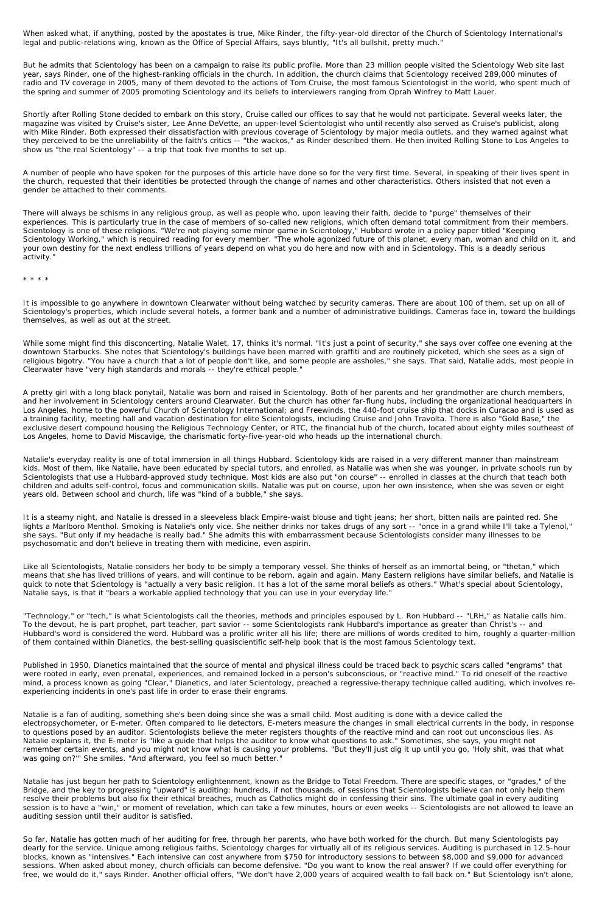When asked what, if anything, posted by the apostates is true, Mike Rinder, the fifty-year-old director of the Church of Scientology International's legal and public-relations wing, known as the Office of Special Affairs, says bluntly, "It's all bullshit, pretty much."

But he admits that Scientology has been on a campaign to raise its public profile. More than 23 million people visited the Scientology Web site last year, says Rinder, one of the highest-ranking officials in the church. In addition, the church claims that Scientology received 289,000 minutes of radio and TV coverage in 2005, many of them devoted to the actions of Tom Cruise, the most famous Scientologist in the world, who spent much of the spring and summer of 2005 promoting Scientology and its beliefs to interviewers ranging from Oprah Winfrey to Matt Lauer.

Shortly after *Rolling Stone* decided to embark on this story, Cruise called our offices to say that he would not participate. Several weeks later, the magazine was visited by Cruise's sister, Lee Anne DeVette, an upper-level Scientologist who until recently also served as Cruise's publicist, along with Mike Rinder. Both expressed their dissatisfaction with previous coverage of Scientology by major media outlets, and they warned against what they perceived to be the unreliability of the faith's critics -- "the wackos," as Rinder described them. He then invited *Rolling Stone* to Los Angeles to show us "the real Scientology" -- a trip that took five months to set up.

A number of people who have spoken for the purposes of this article have done so for the very first time. Several, in speaking of their lives spent in the church, requested that their identities be protected through the change of names and other characteristics. Others insisted that not even a gender be attached to their comments.

There will always be schisms in any religious group, as well as people who, upon leaving their faith, decide to "purge" themselves of their experiences. This is particularly true in the case of members of so-called new religions, which often demand total commitment from their members. Scientology is one of these religions. "We're not playing some minor game in Scientology," Hubbard wrote in a policy paper titled "Keeping Scientology Working," which is required reading for every member. "The whole agonized future of this planet, every man, woman and child on it, and your own destiny for the next endless trillions of years depend on what you do here and now with and in Scientology. This is a deadly serious activity."

\* \* \* \*

It is impossible to go anywhere in downtown Clearwater without being watched by security cameras. There are about 100 of them, set up on all of Scientology's properties, which include several hotels, a former bank and a number of administrative buildings. Cameras face in, toward the buildings themselves, as well as out at the street.

While some might find this disconcerting, Natalie Walet, 17, thinks it's normal. "It's just a point of security," she says over coffee one evening at the downtown Starbucks. She notes that Scientology's buildings have been marred with graffiti and are routinely picketed, which she sees as a sign of religious bigotry. "You have a church that a lot of people don't like, and some people are assholes," she says. That said, Natalie adds, most people in Clearwater have "very high standards and morals -- they're ethical people."

A pretty girl with a long black ponytail, Natalie was born and raised in Scientology. Both of her parents and her grandmother are church members, and her involvement in Scientology centers around Clearwater. But the church has other far-flung hubs, including the organizational headquarters in Los Angeles, home to the powerful Church of Scientology International; and *Freewinds*, the 440-foot cruise ship that docks in Curacao and is used as a training facility, meeting hall and vacation destination for elite Scientologists, including Cruise and John Travolta. There is also "Gold Base," the exclusive desert compound housing the Religious Technology Center, or RTC, the financial hub of the church, located about eighty miles southeast of Los Angeles, home to David Miscavige, the charismatic forty-five-year-old who heads up the international church.

Natalie's everyday reality is one of total immersion in all things Hubbard. Scientology kids are raised in a very different manner than mainstream kids. Most of them, like Natalie, have been educated by special tutors, and enrolled, as Natalie was when she was younger, in private schools run by Scientologists that use a Hubbard-approved study technique. Most kids are also put "on course" -- enrolled in classes at the church that teach both children and adults self-control, focus and communication skills. Natalie was put on course, upon her own insistence, when she was seven or eight years old. Between school and church, life was "kind of a bubble," she says.

It is a steamy night, and Natalie is dressed in a sleeveless black Empire-waist blouse and tight jeans; her short, bitten nails are painted red. She lights a Marlboro Menthol. Smoking is Natalie's only vice. She neither drinks nor takes drugs of any sort -- "once in a grand while I'll take a Tylenol," she says. "But only if my headache is really bad." She admits this with embarrassment because Scientologists consider many illnesses to be psychosomatic and don't believe in treating them with medicine, even aspirin.

Like all Scientologists, Natalie considers her body to be simply a temporary vessel. She thinks of herself as an immortal being, or "thetan," which means that she has lived trillions of years, and will continue to be reborn, again and again. Many Eastern religions have similar beliefs, and Natalie is quick to note that Scientology is "actually a very basic religion. It has a lot of the same moral beliefs as others." What's special about Scientology, Natalie says, is that it "bears a workable applied technology that you can use in your everyday life."

"Technology," or "tech," is what Scientologists call the theories, methods and principles espoused by L. Ron Hubbard -- "LRH," as Natalie calls him. To the devout, he is part prophet, part teacher, part savior -- some Scientologists rank Hubbard's importance as greater than Christ's -- and Hubbard's word is considered *the word*. Hubbard was a prolific writer all his life; there are millions of words credited to him, roughly a quarter-million of them contained within *Dianetics*, the best-selling quasiscientific self-help book that is the most famous Scientology text.

Published in 1950, *Dianetics* maintained that the source of mental and physical illness could be traced back to psychic scars called "engrams" that

were rooted in early, even prenatal, experiences, and remained locked in a person's subconscious, or "reactive mind." To rid oneself of the reactive mind, a process known as going "Clear," Dianetics, and later Scientology, preached a regressive-therapy technique called auditing, which involves reexperiencing incidents in one's past life in order to erase their engrams.

Natalie is a fan of auditing, something she's been doing since she was a small child. Most auditing is done with a device called the electropsychometer, or E-meter. Often compared to lie detectors, E-meters measure the changes in small electrical currents in the body, in response to questions posed by an auditor. Scientologists believe the meter registers thoughts of the reactive mind and can root out unconscious lies. As Natalie explains it, the E-meter is "like a guide that helps the auditor to know what questions to ask." Sometimes, she says, you might not remember certain events, and you might not know what is causing your problems. "But they'll just dig it up until you go, 'Holy shit, was *that* what was going on?'" She smiles. "And afterward, you feel so much better."

Natalie has just begun her path to Scientology enlightenment, known as the Bridge to Total Freedom. There are specific stages, or "grades," of the Bridge, and the key to progressing "upward" is auditing: hundreds, if not thousands, of sessions that Scientologists believe can not only help them resolve their problems but also fix their ethical breaches, much as Catholics might do in confessing their sins. The ultimate goal in every auditing session is to have a "win," or moment of revelation, which can take a few minutes, hours or even weeks -- Scientologists are not allowed to leave an auditing session until their auditor is satisfied.

So far, Natalie has gotten much of her auditing for free, through her parents, who have both worked for the church. But many Scientologists pay dearly for the service. Unique among religious faiths, Scientology charges for virtually all of its religious services. Auditing is purchased in 12.5-hour blocks, known as "intensives." Each intensive can cost anywhere from \$750 for introductory sessions to between \$8,000 and \$9,000 for advanced sessions. When asked about money, church officials can become defensive. "Do you want to know the real answer? If we could offer everything for free, we would do it," says Rinder. Another official offers, "We don't have 2,000 years of acquired wealth to fall back on." But Scientology isn't alone,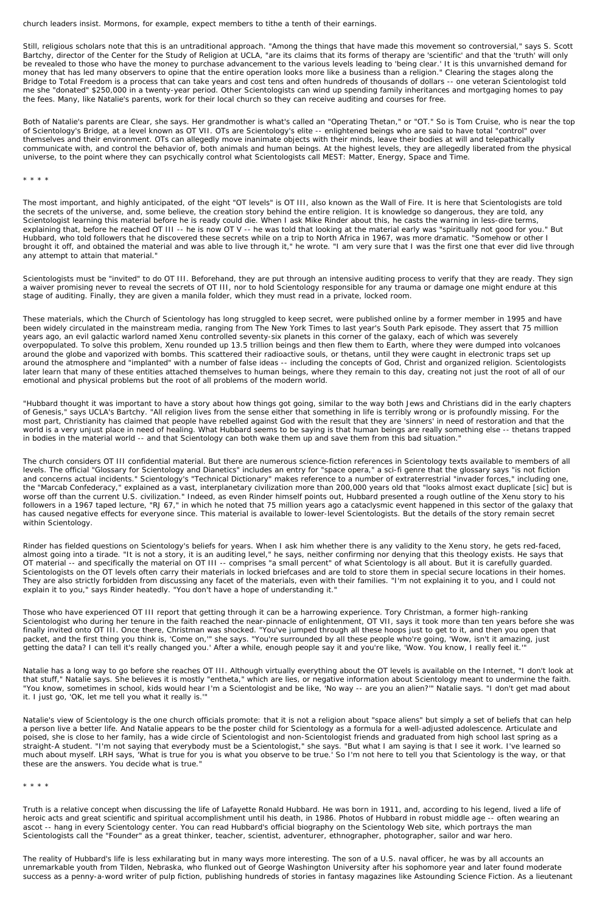church leaders insist. Mormons, for example, expect members to tithe a tenth of their earnings.

Still, religious scholars note that this is an untraditional approach. "Among the things that have made this movement so controversial," says S. Scott Bartchy, director of the Center for the Study of Religion at UCLA, "are its claims that its forms of therapy are 'scientific' and that the 'truth' will only be revealed to those who have the money to purchase advancement to the various levels leading to 'being clear.' It is this unvarnished demand for money that has led many observers to opine that the entire operation looks more like a business than a religion." Clearing the stages along the Bridge to Total Freedom is a process that can take years and cost tens and often hundreds of thousands of dollars -- one veteran Scientologist told me she "donated" \$250,000 in a twenty-year period. Other Scientologists can wind up spending family inheritances and mortgaging homes to pay the fees. Many, like Natalie's parents, work for their local church so they can receive auditing and courses for free.

Both of Natalie's parents are Clear, she says. Her grandmother is what's called an "Operating Thetan," or "OT." So is Tom Cruise, who is near the top of Scientology's Bridge, at a level known as OT VII. OTs are Scientology's elite -- enlightened beings who are said to have total "control" over themselves and their environment. OTs can allegedly move inanimate objects with their minds, leave their bodies at will and telepathically communicate with, and control the behavior of, both animals and human beings. At the highest levels, they are allegedly liberated from the physical universe, to the point where they can psychically control what Scientologists call MEST: Matter, Energy, Space and Time.

\* \* \* \*

The most important, and highly anticipated, of the eight "OT levels" is OT III, also known as the Wall of Fire. It is here that Scientologists are told the secrets of the universe, and, some believe, the creation story behind the entire religion. It is knowledge so dangerous, they are told, any Scientologist learning this material before he is ready could die. When I ask Mike Rinder about this, he casts the warning in less-dire terms, explaining that, before he reached OT III -- he is now OT V -- he was told that looking at the material early was "spiritually not good for you." But Hubbard, who told followers that he discovered these secrets while on a trip to North Africa in 1967, was more dramatic. "Somehow or other I brought it off, and obtained the material and was able to live through it," he wrote. "I am very sure that I was the first one that ever did live through any attempt to attain that material."

Scientologists must be "invited" to do OT III. Beforehand, they are put through an intensive auditing process to verify that they are ready. They sign a waiver promising never to reveal the secrets of OT III, nor to hold Scientology responsible for any trauma or damage one might endure at this stage of auditing. Finally, they are given a manila folder, which they must read in a private, locked room.

These materials, which the Church of Scientology has long struggled to keep secret, were published online by a former member in 1995 and have been widely circulated in the mainstream media, ranging from *The New York Times* to last year's *South Park* episode. They assert that 75 million years ago, an evil galactic warlord named Xenu controlled seventy-six planets in this corner of the galaxy, each of which was severely overpopulated. To solve this problem, Xenu rounded up 13.5 trillion beings and then flew them to Earth, where they were dumped into volcanoes around the globe and vaporized with bombs. This scattered their radioactive souls, or thetans, until they were caught in electronic traps set up around the atmosphere and "implanted" with a number of false ideas -- including the concepts of God, Christ and organized religion. Scientologists later learn that many of these entities attached themselves to human beings, where they remain to this day, creating not just the root of all of our emotional and physical problems but the root of all problems of the modern world.

"Hubbard thought it was important to have a story about how things got going, similar to the way both Jews and Christians did in the early chapters of Genesis," says UCLA's Bartchy. "All religion lives from the sense either that something in life is terribly wrong or is profoundly missing. For the most part, Christianity has claimed that people have rebelled against God with the result that they are 'sinners' in need of restoration and that the world is a very unjust place in need of healing. What Hubbard seems to be saying is that human beings are really something else -- thetans trapped in bodies in the material world -- and that Scientology can both wake them up and save them from this bad situation."

The church considers OT III confidential material. But there are numerous science-fiction references in Scientology texts available to members of all levels. The official "Glossary for Scientology and Dianetics" includes an entry for "space opera," a sci-fi genre that the glossary says "is not fiction and concerns actual incidents." Scientology's "Technical Dictionary" makes reference to a number of extraterrestrial "invader forces," including one, the "Marcab Confederacy," explained as a vast, interplanetary civilization more than 200,000 years old that "looks almost exact duplicate [sic] but is worse off than the current U.S. civilization." Indeed, as even Rinder himself points out, Hubbard presented a rough outline of the Xenu story to his followers in a 1967 taped lecture, "RJ 67," in which he noted that 75 million years ago a cataclysmic event happened in this sector of the galaxy that has caused negative effects for everyone since. This material is available to lower-level Scientologists. But the details of the story remain secret within Scientology.

Rinder has fielded questions on Scientology's beliefs for years. When I ask him whether there is any validity to the Xenu story, he gets red-faced, almost going into a tirade. "It is not a *story*, it is an auditing level," he says, neither confirming nor denying that this theology exists. He says that OT material -- and specifically the material on OT III -- comprises "a small percent" of what Scientology is all about. But it is carefully guarded. Scientologists on the OT levels often carry their materials in locked briefcases and are told to store them in special secure locations in their homes. They are also strictly forbidden from discussing any facet of the materials, even with their families. "I'm not explaining it to you, and I *could not* explain it to you," says Rinder heatedly. "You don't have a hope of understanding it."

Those who have experienced OT III report that getting through it can be a harrowing experience. Tory Christman, a former high-ranking Scientologist who during her tenure in the faith reached the near-pinnacle of enlightenment, OT VII, says it took more than ten years before she was finally invited onto OT III. Once there, Christman was shocked. "You've jumped through all these hoops just to get to it, and then you open that packet, and the first thing you think is, '*Come on*,'" she says. "You're surrounded by all these people who're going, 'Wow, isn't it amazing, just getting the data? I can tell it's really changed you.' After a while, enough people say it and you're like, 'Wow. You know, I really feel it.'"

Natalie has a long way to go before she reaches OT III. Although virtually everything about the OT levels is available on the Internet, "I don't look at

that stuff," Natalie says. She believes it is mostly "entheta," which are lies, or negative information about Scientology meant to undermine the faith. "You know, sometimes in school, kids would hear I'm a Scientologist and be like, 'No way -- are you an alien?'" Natalie says. "I don't get mad about it. I just go, 'OK, let me tell you what it really is.'"

Natalie's view of Scientology is the one church officials promote: that it is not a religion about "space aliens" but simply a set of beliefs that can help a person live a better life. And Natalie appears to be the poster child for Scientology as a formula for a well-adjusted adolescence. Articulate and poised, she is close to her family, has a wide circle of Scientologist and non-Scientologist friends and graduated from high school last spring as a straight-A student. "I'm not saying that everybody must be a Scientologist," she says. "But what I am saying is that I see it work. I've learned so much about myself. LRH says, 'What is true for you is what you observe to be true.' So I'm not here to tell you that Scientology is the way, or that these are the answers. *You* decide what is true."

\* \* \* \*

Truth is a relative concept when discussing the life of Lafayette Ronald Hubbard. He was born in 1911, and, according to his legend, lived a life of heroic acts and great scientific and spiritual accomplishment until his death, in 1986. Photos of Hubbard in robust middle age -- often wearing an ascot -- hang in every Scientology center. You can read Hubbard's official biography on the Scientology Web site, which portrays the man Scientologists call the "Founder" as a great thinker, teacher, scientist, adventurer, ethnographer, photographer, sailor and war hero.

The reality of Hubbard's life is less exhilarating but in many ways more interesting. The son of a U.S. naval officer, he was by all accounts an unremarkable youth from Tilden, Nebraska, who flunked out of George Washington University after his sophomore year and later found moderate success as a penny-a-word writer of pulp fiction, publishing hundreds of stories in fantasy magazines like *Astounding Science Fiction*. As a lieutenant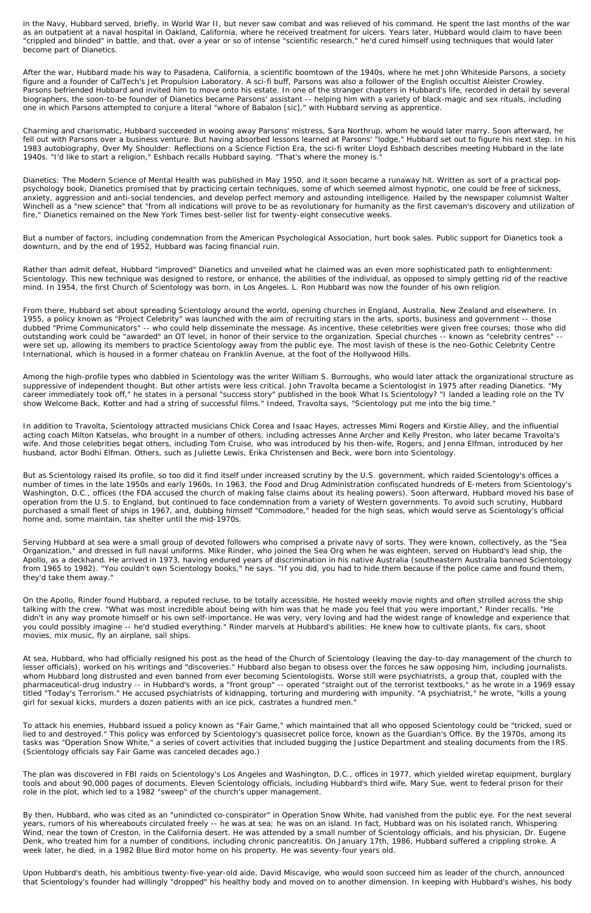in the Navy, Hubbard served, briefly, in World War II, but never saw combat and was relieved of his command. He spent the last months of the war as an outpatient at a naval hospital in Oakland, California, where he received treatment for ulcers. Years later, Hubbard would claim to have been "crippled and blinded" in battle, and that, over a year or so of intense "scientific research," he'd cured himself using techniques that would later become part of Dianetics.

After the war, Hubbard made his way to Pasadena, California, a scientific boomtown of the 1940s, where he met John Whiteside Parsons, a society figure and a founder of CalTech's Jet Propulsion Laboratory. A sci-fi buff, Parsons was also a follower of the English occultist Aleister Crowley. Parsons befriended Hubbard and invited him to move onto his estate. In one of the stranger chapters in Hubbard's life, recorded in detail by several biographers, the soon-to-be founder of Dianetics became Parsons' assistant -- helping him with a variety of black-magic and sex rituals, including one in which Parsons attempted to conjure a literal "whore of Babalon [sic]," with Hubbard serving as apprentice.

Charming and charismatic, Hubbard succeeded in wooing away Parsons' mistress, Sara Northrup, whom he would later marry. Soon afterward, he fell out with Parsons over a business venture. But having absorbed lessons learned at Parsons' "lodge," Hubbard set out to figure his next step. In his 1983 autobiography, *Over My Shoulder: Reflections on a Science Fiction Era*, the sci-fi writer Lloyd Eshbach describes meeting Hubbard in the late 1940s. "I'd like to start a religion," Eshbach recalls Hubbard saying. "That's where the money is."

*Dianetics: The Modern Science of Mental Health* was published in May 1950, and it soon became a runaway hit. Written as sort of a practical poppsychology book, *Dianetics* promised that by practicing certain techniques, some of which seemed almost hypnotic, one could be free of sickness, anxiety, aggression and anti-social tendencies, and develop perfect memory and astounding intelligence. Hailed by the newspaper columnist Walter Winchell as a "new science" that "from all indications will prove to be as revolutionary for humanity as the first caveman's discovery and utilization of fire," *Dianetics* remained on the *New York Times* best-seller list for twenty-eight consecutive weeks.

But a number of factors, including condemnation from the American Psychological Association, hurt book sales. Public support for Dianetics took a downturn, and by the end of 1952, Hubbard was facing financial ruin.

Rather than admit defeat, Hubbard "improved" Dianetics and unveiled what he claimed was an even more sophisticated path to enlightenment: Scientology. This new technique was designed to restore, or enhance, the abilities of the individual, as opposed to simply getting rid of the reactive mind. In 1954, the first Church of Scientology was born, in Los Angeles. L. Ron Hubbard was now the founder of his own religion.

From there, Hubbard set about spreading Scientology around the world, opening churches in England, Australia, New Zealand and elsewhere. In 1955, a policy known as "Project Celebrity" was launched with the aim of recruiting stars in the arts, sports, business and government -- those dubbed "Prime Communicators" -- who could help disseminate the message. As incentive, these celebrities were given free courses; those who did outstanding work could be "awarded" an OT level, in honor of their service to the organization. Special churches -- known as "celebrity centres" - were set up, allowing its members to practice Scientology away from the public eye. The most lavish of these is the neo-Gothic Celebrity Centre International, which is housed in a former chateau on Franklin Avenue, at the foot of the Hollywood Hills.

Among the high-profile types who dabbled in Scientology was the writer William S. Burroughs, who would later attack the organizational structure as suppressive of independent thought. But other artists were less critical. John Travolta became a Scientologist in 1975 after reading *Dianetics*. "My career immediately took off," he states in a personal "success story" published in the book *What Is Scientology*? "I landed a leading role on the TV show *Welcome Back, Kotter* and had a string of successful films." Indeed, Travolta says, "Scientology put me into the big time."

In addition to Travolta, Scientology attracted musicians Chick Corea and Isaac Hayes, actresses Mimi Rogers and Kirstie Alley, and the influential acting coach Milton Katselas, who brought in a number of others, including actresses Anne Archer and Kelly Preston, who later became Travolta's wife. And those celebrities begat others, including Tom Cruise, who was introduced by his then-wife, Rogers, and Jenna Elfman, introduced by her husband, actor Bodhi Elfman. Others, such as Juliette Lewis, Erika Christensen and Beck, were born into Scientology.

But as Scientology raised its profile, so too did it find itself under increased scrutiny by the U.S. government, which raided Scientology's offices a number of times in the late 1950s and early 1960s. In 1963, the Food and Drug Administration confiscated hundreds of E-meters from Scientology's Washington, D.C., offices (the FDA accused the church of making false claims about its healing powers). Soon afterward, Hubbard moved his base of operation from the U.S. to England, but continued to face condemnation from a variety of Western governments. To avoid such scrutiny, Hubbard purchased a small fleet of ships in 1967, and, dubbing himself "Commodore," headed for the high seas, which would serve as Scientology's official home and, some maintain, tax shelter until the mid-1970s.

Serving Hubbard at sea were a small group of devoted followers who comprised a private navy of sorts. They were known, collectively, as the "Sea Organization," and dressed in full naval uniforms. Mike Rinder, who joined the Sea Org when he was eighteen, served on Hubbard's lead ship, the *Apollo*, as a deckhand. He arrived in 1973, having endured years of discrimination in his native Australia (southeastern Australia banned Scientology from 1965 to 1982). "You couldn't own Scientology books," he says. "If you did, you had to hide them because if the police came and found them, they'd take them away."

On the *Apollo*, Rinder found Hubbard, a reputed recluse, to be totally accessible. He hosted weekly movie nights and often strolled across the ship talking with the crew. "What was most incredible about being with him was that he made you feel that you were important," Rinder recalls. "He didn't in any way promote himself or his own self-importance. He was very, very loving and had the widest range of knowledge and experience that you could possibly imagine -- he'd studied everything." Rinder marvels at Hubbard's abilities: He knew how to cultivate plants, fix cars, shoot movies, mix music, fly an airplane, sail ships.

At sea, Hubbard, who had officially resigned his post as the head of the Church of Scientology (leaving the day-to-day management of the church to lesser officials), worked on his writings and "discoveries." Hubbard also began to obsess over the forces he saw opposing him, including journalists, whom Hubbard long distrusted and even banned from ever becoming Scientologists. Worse still were psychiatrists, a group that, coupled with the pharmaceutical-drug industry -- in Hubbard's words, a "front group" -- operated "straight out of the terrorist textbooks," as he wrote in a 1969 essay titled "Today's Terrorism." He accused psychiatrists of kidnapping, torturing and murdering with impunity. "A psychiatrist," he wrote, "kills a young girl for sexual kicks, murders a dozen patients with an ice pick, castrates a hundred men."

To attack his enemies, Hubbard issued a policy known as "Fair Game," which maintained that all who opposed Scientology could be "tricked, sued or lied to and destroyed." This policy was enforced by Scientology's quasisecret police force, known as the Guardian's Office. By the 1970s, among its tasks was "Operation Snow White," a series of covert activities that included bugging the Justice Department and stealing documents from the IRS. (Scientology officials say Fair Game was canceled decades ago.)

The plan was discovered in FBI raids on Scientology's Los Angeles and Washington, D.C., offices in 1977, which yielded wiretap equipment, burglary tools and about 90,000 pages of documents. Eleven Scientology officials, including Hubbard's third wife, Mary Sue, went to federal prison for their role in the plot, which led to a 1982 "sweep" of the church's upper management.

By then, Hubbard, who was cited as an "unindicted co-conspirator" in Operation Snow White, had vanished from the public eye. For the next several years, rumors of his whereabouts circulated freely -- he was at sea; he was on an island. In fact, Hubbard was on his isolated ranch, Whispering Wind, near the town of Creston, in the California desert. He was attended by a small number of Scientology officials, and his physician, Dr. Eugene Denk, who treated him for a number of conditions, including chronic pancreatitis. On January 17th, 1986, Hubbard suffered a crippling stroke. A week later, he died, in a 1982 Blue Bird motor home on his property. He was seventy-four years old.

Upon Hubbard's death, his ambitious twenty-five-year-old aide, David Miscavige, who would soon succeed him as leader of the church, announced that Scientology's founder had willingly "dropped" his healthy body and moved on to another dimension. In keeping with Hubbard's wishes, his body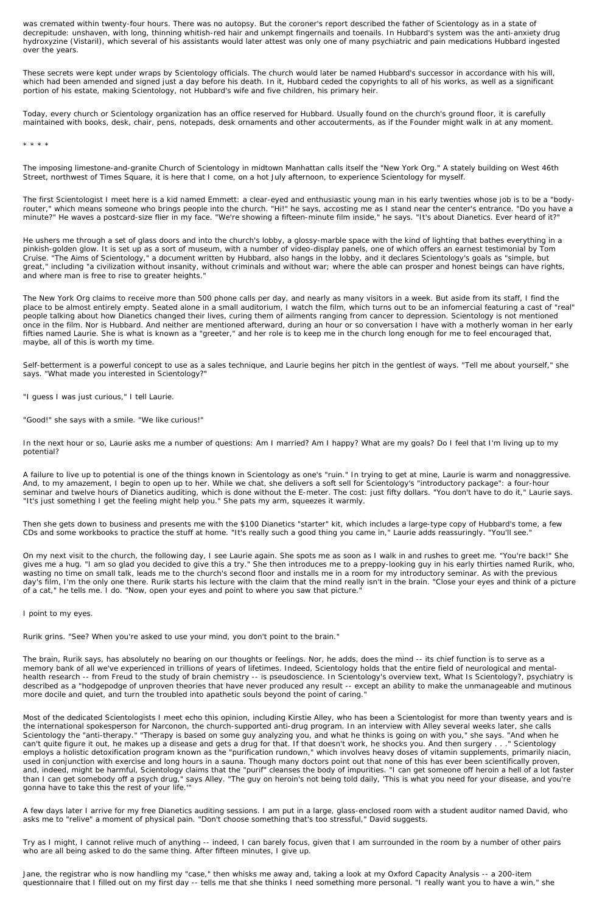was cremated within twenty-four hours. There was no autopsy. But the coroner's report described the father of Scientology as in a state of decrepitude: unshaven, with long, thinning whitish-red hair and unkempt fingernails and toenails. In Hubbard's system was the anti-anxiety drug hydroxyzine (Vistaril), which several of his assistants would later attest was only one of many psychiatric and pain medications Hubbard ingested over the years.

These secrets were kept under wraps by Scientology officials. The church would later be named Hubbard's successor in accordance with his will, which had been amended and signed just a day before his death. In it, Hubbard ceded the copyrights to all of his works, as well as a significant portion of his estate, making Scientology, not Hubbard's wife and five children, his primary heir.

Today, every church or Scientology organization has an office reserved for Hubbard. Usually found on the church's ground floor, it is carefully maintained with books, desk, chair, pens, notepads, desk ornaments and other accouterments, as if the Founder might walk in at any moment.

\* \* \* \*

The imposing limestone-and-granite Church of Scientology in midtown Manhattan calls itself the "New York Org." A stately building on West 46th Street, northwest of Times Square, it is here that I come, on a hot July afternoon, to experience Scientology for myself.

The first Scientologist I meet here is a kid named Emmett: a clear-eyed and enthusiastic young man in his early twenties whose job is to be a "bodyrouter," which means someone who brings people into the church. "Hi!" he says, accosting me as I stand near the center's entrance. "Do you have a minute?" He waves a postcard-size flier in my face. "We're showing a fifteen-minute film inside," he says. "It's about Dianetics. Ever heard of it?"

He ushers me through a set of glass doors and into the church's lobby, a glossy-marble space with the kind of lighting that bathes everything in a pinkish-golden glow. It is set up as a sort of museum, with a number of video-display panels, one of which offers an earnest testimonial by Tom Cruise. "The Aims of Scientology," a document written by Hubbard, also hangs in the lobby, and it declares Scientology's goals as "simple, but great," including "a civilization without insanity, without criminals and without war; where the able can prosper and honest beings can have rights, and where man is free to rise to greater heights."

The New York Org claims to receive more than 500 phone calls per day, and nearly as many visitors in a week. But aside from its staff, I find the place to be almost entirely empty. Seated alone in a small auditorium, I watch the film, which turns out to be an infomercial featuring a cast of "real" people talking about how Dianetics changed their lives, curing them of ailments ranging from cancer to depression. Scientology is not mentioned once in the film. Nor is Hubbard. And neither are mentioned afterward, during an hour or so conversation I have with a motherly woman in her early fifties named Laurie. She is what is known as a "greeter," and her role is to keep me in the church long enough for me to feel encouraged that, maybe, all of this is worth my time.

Self-betterment is a powerful concept to use as a sales technique, and Laurie begins her pitch in the gentlest of ways. "Tell me about yourself," she says. "What made you interested in Scientology?"

"I guess I was just curious," I tell Laurie.

"Good!" she says with a smile. "We like curious!"

In the next hour or so, Laurie asks me a number of questions: Am I married? Am I happy? What are my goals? Do I feel that I'm living up to my potential?

A failure to live up to potential is one of the things known in Scientology as one's "ruin." In trying to get at mine, Laurie is warm and nonaggressive. And, to my amazement, I begin to open up to her. While we chat, she delivers a soft sell for Scientology's "introductory package": a four-hour seminar and twelve hours of Dianetics auditing, which is done without the E-meter. The cost: just fifty dollars. "You don't have to do it," Laurie says. "It's just something I get the feeling might help you." She pats my arm, squeezes it warmly.

Then she gets down to business and presents me with the \$100 Dianetics "starter" kit, which includes a large-type copy of Hubbard's tome, a few CDs and some workbooks to practice the stuff at home. "It's really such a good thing you came in," Laurie adds reassuringly. "You'll see."

On my next visit to the church, the following day, I see Laurie again. She spots me as soon as I walk in and rushes to greet me. "You're back!" She gives me a hug. "I am so glad you decided to give this a try." She then introduces me to a preppy-looking guy in his early thirties named Rurik, who, wasting no time on small talk, leads me to the church's second floor and installs me in a room for my introductory seminar. As with the previous day's film, I'm the only one there. Rurik starts his lecture with the claim that the mind really isn't in the brain. "Close your eyes and think of a picture of a cat," he tells me. I do. "Now, open your eyes and point to where you saw that picture."

I point to my eyes.

Rurik grins. "See? When you're asked to use your mind, you don't point to the brain."

The brain, Rurik says, has absolutely no bearing on our thoughts or feelings. Nor, he adds, does the mind -- its chief function is to serve as a memory bank of all we've experienced in trillions of years of lifetimes. Indeed, Scientology holds that the entire field of neurological and mental-

health research -- from Freud to the study of brain chemistry -- is pseudoscience. In Scientology's overview text, *What Is Scientology*?, psychiatry is described as a "hodgepodge of unproven theories that have never produced any result -- except an ability to make the unmanageable and mutinous more docile and quiet, and turn the troubled into apathetic souls beyond the point of caring."

Most of the dedicated Scientologists I meet echo this opinion, including Kirstie Alley, who has been a Scientologist for more than twenty years and is the international spokesperson for Narconon, the church-supported anti-drug program. In an interview with Alley several weeks later, she calls Scientology the "anti-therapy." "Therapy is based on some guy analyzing you, and what he thinks is going on with you," she says. "And when he can't quite figure it out, he makes up a disease and gets a drug for that. If that doesn't work, he shocks you. And then surgery . . ." Scientology employs a holistic detoxification program known as the "purification rundown," which involves heavy doses of vitamin supplements, primarily niacin, used in conjunction with exercise and long hours in a sauna. Though many doctors point out that none of this has ever been scientifically proven, and, indeed, might be harmful, Scientology claims that the "purif" cleanses the body of impurities. "I can get someone off heroin a hell of a lot faster than I can get somebody off a psych drug," says Alley. "The guy on heroin's not being told daily, 'This is what you need for your disease, and you're gonna have to take this the rest of your life.'"

A few days later I arrive for my free Dianetics auditing sessions. I am put in a large, glass-enclosed room with a student auditor named David, who asks me to "relive" a moment of physical pain. "Don't choose something that's *too* stressful," David suggests.

Try as I might, I cannot relive much of anything -- indeed, I can barely focus, given that I am surrounded in the room by a number of other pairs who are all being asked to do the same thing. After fifteen minutes, I give up.

Jane, the registrar who is now handling my "case," then whisks me away and, taking a look at my Oxford Capacity Analysis -- a 200-item questionnaire that I filled out on my first day -- tells me that she thinks I need something more personal. "I really want you to have a win," she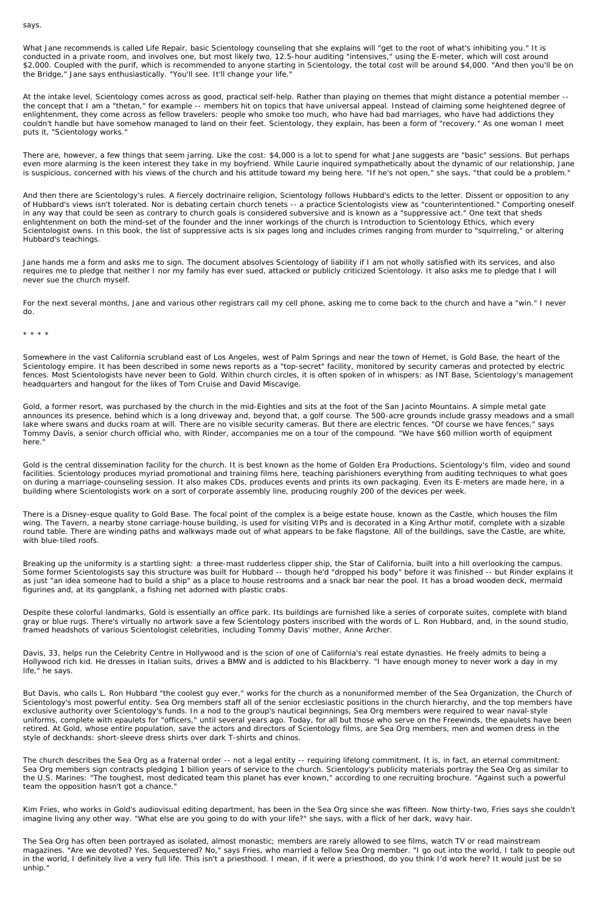says.

What Jane recommends is called Life Repair, basic Scientology counseling that she explains will "get to the root of what's inhibiting you." It is conducted in a private room, and involves one, but most likely two, 12.5-hour auditing "intensives," using the E-meter, which will cost around \$2,000. Coupled with the purif, which is recommended to anyone starting in Scientology, the total cost will be around \$4,000. "And then you'll be on the Bridge," Jane says enthusiastically. "You'll see. It'll change your life."

At the intake level, Scientology comes across as good, practical self-help. Rather than playing on themes that might distance a potential member - the concept that I am a "thetan," for example -- members hit on topics that have universal appeal. Instead of claiming some heightened degree of enlightenment, they come across as fellow travelers: people who smoke too much, who have had bad marriages, who have had addictions they couldn't handle but have somehow managed to land on their feet. Scientology, they explain, has been a form of "recovery." As one woman I meet puts it, "Scientology *works*."

There are, however, a few things that seem jarring. Like the cost: \$4,000 is a lot to spend for what Jane suggests are "basic" sessions. But perhaps even more alarming is the keen interest they take in my boyfriend. While Laurie inquired sympathetically about the dynamic of our relationship, Jane is suspicious, concerned with his views of the church and his attitude toward my being here. "If he's not open," she says, "that could be a problem."

And then there are Scientology's rules. A fiercely doctrinaire religion, Scientology follows Hubbard's edicts to the letter. Dissent or opposition to any of Hubbard's views isn't tolerated. Nor is debating certain church tenets -- a practice Scientologists view as "counterintentioned." Comporting oneself in any way that could be seen as contrary to church goals is considered subversive and is known as a "suppressive act." One text that sheds enlightenment on both the mind-set of the founder and the inner workings of the church is *Introduction to Scientology Ethics*, which every Scientologist owns. In this book, the list of suppressive acts is six pages long and includes crimes ranging from murder to "squirreling," or altering Hubbard's teachings.

Gold is the central dissemination facility for the church. It is best known as the home of Golden Era Productions, Scientology's film, video and sound facilities. Scientology produces myriad promotional and training films here, teaching parishioners everything from auditing techniques to what goes on during a marriage-counseling session. It also makes CDs, produces events and prints its own packaging. Even its E-meters are made here, in a building where Scientologists work on a sort of corporate assembly line, producing roughly 200 of the devices per week.

Jane hands me a form and asks me to sign. The document absolves Scientology of liability if I am not wholly satisfied with its services, and also requires me to pledge that neither I nor my family has ever sued, attacked or publicly criticized Scientology. It also asks me to pledge that I will never sue the church myself.

For the next several months, Jane and various other registrars call my cell phone, asking me to come back to the church and have a "win." I never do.

\* \* \* \*

Somewhere in the vast California scrubland east of Los Angeles, west of Palm Springs and near the town of Hemet, is Gold Base, the heart of the Scientology empire. It has been described in some news reports as a "top-secret" facility, monitored by security cameras and protected by electric fences. Most Scientologists have never been to Gold. Within church circles, it is often spoken of in whispers: as INT Base, Scientology's management headquarters and hangout for the likes of Tom Cruise and David Miscavige.

Gold, a former resort, was purchased by the church in the mid-Eighties and sits at the foot of the San Jacinto Mountains. A simple metal gate announces its presence, behind which is a long driveway and, beyond that, a golf course. The 500-acre grounds include grassy meadows and a small lake where swans and ducks roam at will. There are no visible security cameras. But there are electric fences. "*Of course* we have fences," says Tommy Davis, a senior church official who, with Rinder, accompanies me on a tour of the compound. "We have \$60 million worth of equipment here."

There is a Disney-esque quality to Gold Base. The focal point of the complex is a beige estate house, known as the Castle, which houses the film wing. The Tavern, a nearby stone carriage-house building, is used for visiting VIPs and is decorated in a King Arthur motif, complete with a sizable round table. There are winding paths and walkways made out of what appears to be fake flagstone. All of the buildings, save the Castle, are white, with blue-tiled roofs.

Breaking up the uniformity is a startling sight: a three-mast rudderless clipper ship, the *Star of California*, built into a hill overlooking the campus. Some former Scientologists say this structure was built for Hubbard -- though he'd "dropped his body" before it was finished -- but Rinder explains it as just "an idea someone had to build a ship" as a place to house restrooms and a snack bar near the pool. It has a broad wooden deck, mermaid figurines and, at its gangplank, a fishing net adorned with plastic crabs.

Despite these colorful landmarks, Gold is essentially an office park. Its buildings are furnished like a series of corporate suites, complete with bland gray or blue rugs. There's virtually no artwork save a few Scientology posters inscribed with the words of L. Ron Hubbard, and, in the sound studio, framed headshots of various Scientologist celebrities, including Tommy Davis' mother, Anne Archer.

Davis, 33, helps run the Celebrity Centre in Hollywood and is the scion of one of California's real estate dynasties. He freely admits to being a Hollywood rich kid. He dresses in Italian suits, drives a BMW and is addicted to his Blackberry. "I have enough money to never work a day in my life," he says.

But Davis, who calls L. Ron Hubbard "the coolest guy ever," works for the church as a nonuniformed member of the Sea Organization, the Church of Scientology's most powerful entity. Sea Org members staff all of the senior ecclesiastic positions in the church hierarchy, and the top members have exclusive authority over Scientology's funds. In a nod to the group's nautical beginnings, Sea Org members were required to wear naval-style uniforms, complete with epaulets for "officers," until several years ago. Today, for all but those who serve on the *Freewinds*, the epaulets have been retired. At Gold, whose entire population, save the actors and directors of Scientology films, are Sea Org members, men and women dress in the style of deckhands: short-sleeve dress shirts over dark T-shirts and chinos.

The church describes the Sea Org as a fraternal order -- not a legal entity -- requiring lifelong commitment. It is, in fact, an eternal commitment: Sea Org members sign contracts pledging 1 billion years of service to the church. Scientology's publicity materials portray the Sea Org as similar to the U.S. Marines: "The toughest, most dedicated team this planet has ever known," according to one recruiting brochure. "Against such a powerful team the opposition hasn't got a chance."

Kim Fries, who works in Gold's audiovisual editing department, has been in the Sea Org since she was fifteen. Now thirty-two, Fries says she couldn't imagine living any other way. "What else are you going to do with your life?" she says, with a flick of her dark, wavy hair.

The Sea Org has often been portrayed as isolated, almost monastic; members are rarely allowed to see films, watch TV or read mainstream magazines. "Are we devoted? Yes. Sequestered? No," says Fries, who married a fellow Sea Org member. "I go out into the world, I talk to people out in the world, I definitely live a very full life. This isn't a priesthood. I mean, if it were a priesthood, do you think I'd work here? It would just be so unhip."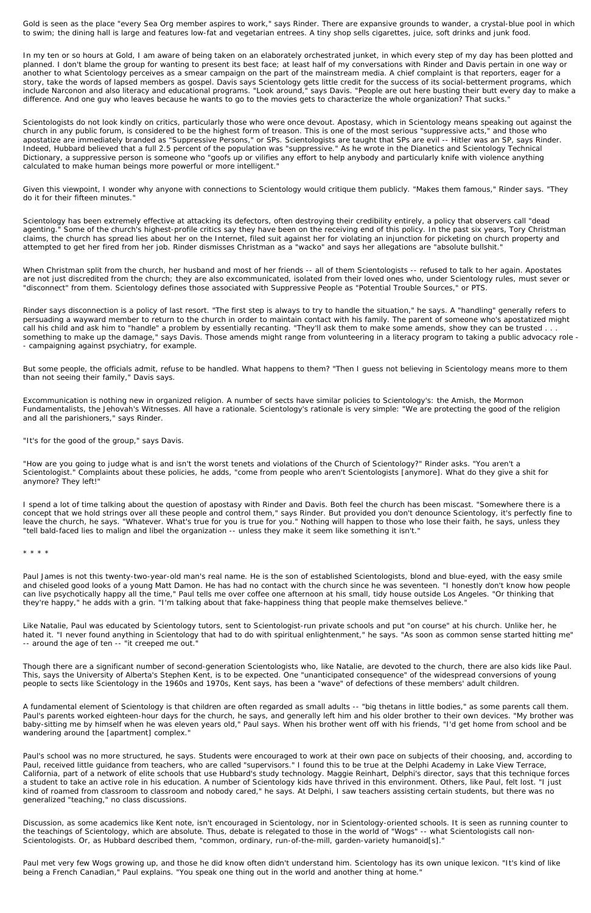Gold is seen as the place "every Sea Org member aspires to work," says Rinder. There are expansive grounds to wander, a crystal-blue pool in which to swim; the dining hall is large and features low-fat and vegetarian entrees. A tiny shop sells cigarettes, juice, soft drinks and junk food.

In my ten or so hours at Gold, I am aware of being taken on an elaborately orchestrated junket, in which every step of my day has been plotted and planned. I don't blame the group for wanting to present its best face; at least half of my conversations with Rinder and Davis pertain in one way or another to what Scientology perceives as a smear campaign on the part of the mainstream media. A chief complaint is that reporters, eager for a story, take the words of lapsed members as gospel. Davis says Scientology gets little credit for the success of its social-betterment programs, which include Narconon and also literacy and educational programs. "Look around," says Davis. "People are out here busting their butt every day to make a difference. And one guy who leaves because he wants to go to the movies gets to characterize the whole organization? That sucks."

Scientologists do not look kindly on critics, particularly those who were once devout. Apostasy, which in Scientology means speaking out against the church in any public forum, is considered to be the highest form of treason. This is one of the most serious "suppressive acts," and those who apostatize are immediately branded as "Suppressive Persons," or SPs. Scientologists are taught that SPs are evil -- Hitler was an SP, says Rinder. Indeed, Hubbard believed that a full 2.5 percent of the population was "suppressive." As he wrote in the *Dianetics and Scientology Technical Dictionary*, a suppressive person is someone who "goofs up or vilifies any effort to help anybody and particularly knife with violence anything calculated to make human beings more powerful or more intelligent."

When Christman split from the church, her husband and most of her friends -- all of them Scientologists -- refused to talk to her again. Apostates are not just discredited from the church; they are also excommunicated, isolated from their loved ones who, under Scientology rules, must sever or "disconnect" from them. Scientology defines those associated with Suppressive People as "Potential Trouble Sources," or PTS.

Given this viewpoint, I wonder why anyone with connections to Scientology would critique them publicly. "Makes them famous," Rinder says. "They do it for their fifteen minutes."

Scientology has been extremely effective at attacking its defectors, often destroying their credibility entirely, a policy that observers call "dead agenting." Some of the church's highest-profile critics say they have been on the receiving end of this policy. In the past six years, Tory Christman claims, the church has spread lies about her on the Internet, filed suit against her for violating an injunction for picketing on church property and attempted to get her fired from her job. Rinder dismisses Christman as a "wacko" and says her allegations are "absolute bullshit."

Rinder says disconnection is a policy of last resort. "The first step is always to try to *handle* the situation," he says. A "handling" generally refers to persuading a wayward member to return to the church in order to maintain contact with his family. The parent of someone who's apostatized might call his child and ask him to "handle" a problem by essentially recanting. "They'll ask them to make some amends, show they can be trusted . . . something to make up the damage," says Davis. Those amends might range from volunteering in a literacy program to taking a public advocacy role - - campaigning against psychiatry, for example.

But some people, the officials admit, refuse to be handled. What happens to them? "Then I guess not believing in Scientology means more to them than not seeing their family," Davis says.

Discussion, as some academics like Kent note, isn't encouraged in Scientology, nor in Scientology-oriented schools. It is seen as running counter to the teachings of Scientology, which are absolute. Thus, debate is relegated to those in the world of "Wogs" -- what Scientologists call non-Scientologists. Or, as Hubbard described them, "common, ordinary, run-of-the-mill, garden-variety humanoid[s]."

Excommunication is nothing new in organized religion. A number of sects have similar policies to Scientology's: the Amish, the Mormon Fundamentalists, the Jehovah's Witnesses. All have a rationale. Scientology's rationale is very simple: "We are protecting the good of the religion and all the parishioners," says Rinder.

"It's for the good of the group," says Davis.

"How are you going to judge what is and isn't the worst tenets and violations of the Church of Scientology?" Rinder asks. "*You* aren't a Scientologist." Complaints about these policies, he adds, "come from people who aren't Scientologists [anymore]. What do they give a shit for anymore? They left!"

I spend a lot of time talking about the question of apostasy with Rinder and Davis. Both feel the church has been miscast. "Somewhere there is a concept that we hold strings over all these people and control them," says Rinder. But provided you don't denounce Scientology, it's perfectly fine to leave the church, he says. "Whatever. What's true for you is true for you." Nothing will happen to those who lose their faith, he says, unless they "tell bald-faced lies to malign and libel the organization -- unless they make it seem like something it isn't."

\* \* \* \*

Paul James is not this twenty-two-year-old man's real name. He is the son of established Scientologists, blond and blue-eyed, with the easy smile and chiseled good looks of a young Matt Damon. He has had no contact with the church since he was seventeen. "I honestly don't know how people can live psychotically happy all the time," Paul tells me over coffee one afternoon at his small, tidy house outside Los Angeles. "Or *thinking* that they're happy," he adds with a grin. "I'm talking about that fake-happiness thing that people make themselves believe."

Like Natalie, Paul was educated by Scientology tutors, sent to Scientologist-run private schools and put "on course" at his church. Unlike her, he hated it. "I never found anything in Scientology that had to do with spiritual enlightenment," he says. "As soon as common sense started hitting me" -- around the age of ten -- "it creeped me out."

Though there are a significant number of second-generation Scientologists who, like Natalie, are devoted to the church, there are also kids like Paul.

This, says the University of Alberta's Stephen Kent, is to be expected. One "unanticipated consequence" of the widespread conversions of young people to sects like Scientology in the 1960s and 1970s, Kent says, has been a "wave" of defections of these members' adult children.

A fundamental element of Scientology is that children are often regarded as small adults -- "big thetans in little bodies," as some parents call them. Paul's parents worked eighteen-hour days for the church, he says, and generally left him and his older brother to their own devices. "My brother was baby-sitting me by himself when he was eleven years old," Paul says. When his brother went off with his friends, "I'd get home from school and be wandering around the [apartment] complex."

Paul's school was no more structured, he says. Students were encouraged to work at their own pace on subjects of their choosing, and, according to Paul, received little guidance from teachers, who are called "supervisors." I found this to be true at the Delphi Academy in Lake View Terrace, California, part of a network of elite schools that use Hubbard's study technology. Maggie Reinhart, Delphi's director, says that this technique forces a student to take an active role in his education. A number of Scientology kids have thrived in this environment. Others, like Paul, felt lost. "I just kind of roamed from classroom to classroom and nobody cared," he says. At Delphi, I saw teachers assisting certain students, but there was no generalized "teaching," no class discussions.

Paul met very few Wogs growing up, and those he did know often didn't understand him. Scientology has its own unique lexicon. "It's kind of like being a French Canadian," Paul explains. "You speak one thing out in the world and another thing at home."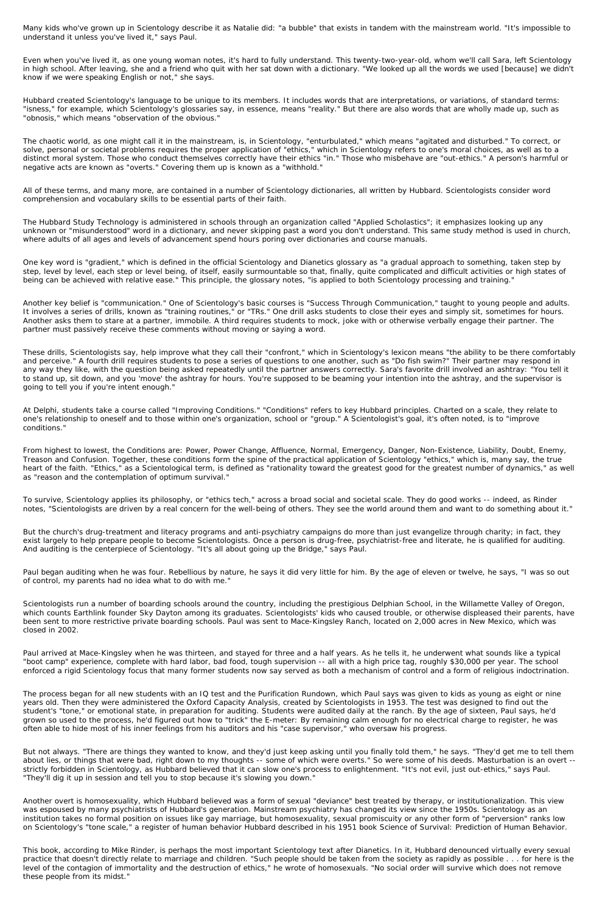Many kids who've grown up in Scientology describe it as Natalie did: "a bubble" that exists in tandem with the mainstream world. "It's impossible to understand it unless you've lived it," says Paul.

Even when you've lived it, as one young woman notes, it's hard to fully understand. This twenty-two-year-old, whom we'll call Sara, left Scientology in high school. After leaving, she and a friend who quit with her sat down with a dictionary. "We looked up all the words we used [because] we didn't know if we were speaking English or not," she says.

Hubbard created Scientology's language to be unique to its members. It includes words that are interpretations, or variations, of standard terms: "isness," for example, which Scientology's glossaries say, in essence, means "reality." But there are also words that are wholly made up, such as "obnosis," which means "observation of the obvious."

The chaotic world, as one might call it in the mainstream, is, in Scientology, "enturbulated," which means "agitated and disturbed." To correct, or solve, personal or societal problems requires the proper application of "ethics," which in Scientology refers to one's moral choices, as well as to a distinct moral system. Those who conduct themselves correctly have their ethics "in." Those who misbehave are "out-ethics." A person's harmful or negative acts are known as "overts." Covering them up is known as a "withhold."

All of these terms, and many more, are contained in a number of Scientology dictionaries, all written by Hubbard. Scientologists consider word comprehension and vocabulary skills to be essential parts of their faith.

The Hubbard Study Technology is administered in schools through an organization called "Applied Scholastics"; it emphasizes looking up any unknown or "misunderstood" word in a dictionary, and never skipping past a word you don't understand. This same study method is used in church, where adults of all ages and levels of advancement spend hours poring over dictionaries and course manuals.

One key word is "gradient," which is defined in the official Scientology and Dianetics glossary as "a gradual approach to something, taken step by step, level by level, each step or level being, of itself, easily surmountable so that, finally, quite complicated and difficult activities or high states of being can be achieved with relative ease." This principle, the glossary notes, "is applied to both Scientology processing and training."

Another key belief is "communication." One of Scientology's basic courses is "Success Through Communication," taught to young people and adults. It involves a series of drills, known as "training routines," or "TRs." One drill asks students to close their eyes and simply sit, sometimes for hours. Another asks them to stare at a partner, immobile. A third requires students to mock, joke with or otherwise verbally engage their partner. The partner must passively receive these comments without moving or saying a word.

Paul arrived at Mace-Kingsley when he was thirteen, and stayed for three and a half years. As he tells it, he underwent what sounds like a typical "boot camp" experience, complete with hard labor, bad food, tough supervision -- all with a high price tag, roughly \$30,000 per year. The school

These drills, Scientologists say, help improve what they call their "confront," which in Scientology's lexicon means "the ability to be there comfortably and perceive." A fourth drill requires students to pose a series of questions to one another, such as "Do fish swim?" Their partner may respond in any way they like, with the question being asked repeatedly until the partner answers correctly. Sara's favorite drill involved an ashtray: "You tell it to stand up, sit down, and you 'move' the ashtray for hours. You're supposed to be beaming your intention into the ashtray, and the supervisor is going to tell you if you're intent enough."

At Delphi, students take a course called "Improving Conditions." "Conditions" refers to key Hubbard principles. Charted on a scale, they relate to one's relationship to oneself and to those within one's organization, school or "group." A Scientologist's goal, it's often noted, is to "improve conditions."

From highest to lowest, the Conditions are: Power, Power Change, Affluence, Normal, Emergency, Danger, Non-Existence, Liability, Doubt, Enemy, Treason and Confusion. Together, these conditions form the spine of the practical application of Scientology "ethics," which is, many say, the true heart of the faith. "Ethics," as a Scientological term, is defined as "rationality toward the greatest good for the greatest number of dynamics," as well as "reason and the contemplation of optimum survival."

To survive, Scientology applies its philosophy, or "ethics tech," across a broad social and societal scale. They do good works -- indeed, as Rinder notes, "Scientologists are driven by a real concern for the well-being of others. They see the world around them and want to do something about it."

But the church's drug-treatment and literacy programs and anti-psychiatry campaigns do more than just evangelize through charity; in fact, they exist largely to help prepare people to become Scientologists. Once a person is drug-free, psychiatrist-free and literate, he is qualified for auditing. And auditing is the centerpiece of Scientology. "It's all about going up the Bridge," says Paul.

Paul began auditing when he was four. Rebellious by nature, he says it did very little for him. By the age of eleven or twelve, he says, "I was so out of control, my parents had no idea what to do with me."

Scientologists run a number of boarding schools around the country, including the prestigious Delphian School, in the Willamette Valley of Oregon, which counts Earthlink founder Sky Dayton among its graduates. Scientologists' kids who caused trouble, or otherwise displeased their parents, have been sent to more restrictive private boarding schools. Paul was sent to Mace-Kingsley Ranch, located on 2,000 acres in New Mexico, which was closed in 2002.

enforced a rigid Scientology focus that many former students now say served as both a mechanism of control and a form of religious indoctrination.

The process began for all new students with an IQ test and the Purification Rundown, which Paul says was given to kids as young as eight or nine years old. Then they were administered the Oxford Capacity Analysis, created by Scientologists in 1953. The test was designed to find out the student's "tone," or emotional state, in preparation for auditing. Students were audited daily at the ranch. By the age of sixteen, Paul says, he'd grown so used to the process, he'd figured out how to "trick" the E-meter: By remaining calm enough for no electrical charge to register, he was often able to hide most of his inner feelings from his auditors and his "case supervisor," who oversaw his progress.

But not always. "There are things they wanted to know, and they'd just keep asking until you finally told them," he says. "They'd get me to tell them about lies, or things that were bad, right down to my thoughts -- some of which were overts." So were some of his deeds. Masturbation is an overt - strictly forbidden in Scientology, as Hubbard believed that it can slow one's process to enlightenment. "It's not evil, just out-ethics," says Paul. "They'll dig it up in session and tell you to stop because it's slowing you down."

Another overt is homosexuality, which Hubbard believed was a form of sexual "deviance" best treated by therapy, or institutionalization. This view was espoused by many psychiatrists of Hubbard's generation. Mainstream psychiatry has changed its view since the 1950s. Scientology as an institution takes no formal position on issues like gay marriage, but homosexuality, sexual promiscuity or any other form of "perversion" ranks low on Scientology's "tone scale," a register of human behavior Hubbard described in his 1951 book *Science of Survival: Prediction of Human Behavior*.

This book, according to Mike Rinder, is perhaps the most important Scientology text after *Dianetics*. In it, Hubbard denounced virtually every sexual practice that doesn't directly relate to marriage and children. "Such people should be taken from the society as rapidly as possible . . . for here is the level of the contagion of immortality and the destruction of ethics," he wrote of homosexuals. "No social order will survive which does not remove these people from its midst."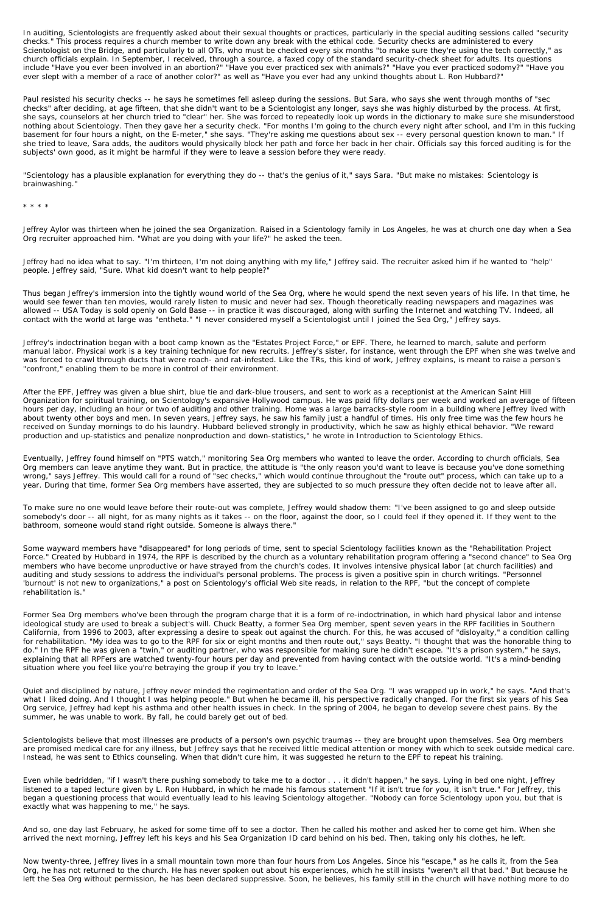In auditing, Scientologists are frequently asked about their sexual thoughts or practices, particularly in the special auditing sessions called "security checks." This process requires a church member to write down any break with the ethical code. Security checks are administered to every Scientologist on the Bridge, and particularly to all OTs, who must be checked every six months "to make sure they're using the tech correctly," as church officials explain. In September, I received, through a source, a faxed copy of the standard security-check sheet for adults. Its questions include "Have you ever been involved in an abortion?" "Have you ever practiced sex with animals?" "Have you ever practiced sodomy?" "Have you ever slept with a member of a race of another color?" as well as "Have you ever had any unkind thoughts about L. Ron Hubbard?"

Paul resisted his security checks -- he says he sometimes fell asleep during the sessions. But Sara, who says she went through months of "sec checks" after deciding, at age fifteen, that she didn't want to be a Scientologist any longer, says she was highly disturbed by the process. At first, she says, counselors at her church tried to "clear" her. She was forced to repeatedly look up words in the dictionary to make sure she misunderstood nothing about Scientology. Then they gave her a security check. "For months I'm going to the church every night after school, and I'm in this fucking basement for four hours a night, on the E-meter," she says. "They're asking me questions about sex -- every personal question known to man." If she tried to leave, Sara adds, the auditors would physically block her path and force her back in her chair. Officials say this forced auditing is for the subjects' own good, as it might be harmful if they were to leave a session before they were ready.

"Scientology has a plausible explanation for everything they do -- that's the genius of it," says Sara. "But make no mistakes: Scientology is brainwashing."

\* \* \* \*

Jeffrey Aylor was thirteen when he joined the sea Organization. Raised in a Scientology family in Los Angeles, he was at church one day when a Sea Org recruiter approached him. "What are you doing with your life?" he asked the teen.

Jeffrey had no idea what to say. "I'm thirteen, I'm not doing anything with my life," Jeffrey said. The recruiter asked him if he wanted to "help" people. Jeffrey said, "Sure. What kid doesn't want to help people?"

Thus began Jeffrey's immersion into the tightly wound world of the Sea Org, where he would spend the next seven years of his life. In that time, he would see fewer than ten movies, would rarely listen to music and never had sex. Though theoretically reading newspapers and magazines was allowed -- *USA Today* is sold openly on Gold Base -- in practice it was discouraged, along with surfing the Internet and watching TV. Indeed, all contact with the world at large was "entheta." "I never considered myself a Scientologist until I joined the Sea Org," Jeffrey says.

Jeffrey's indoctrination began with a boot camp known as the "Estates Project Force," or EPF. There, he learned to march, salute and perform manual labor. Physical work is a key training technique for new recruits. Jeffrey's sister, for instance, went through the EPF when she was twelve and was forced to crawl through ducts that were roach- and rat-infested. Like the TRs, this kind of work, Jeffrey explains, is meant to raise a person's "confront," enabling them to be more in control of their environment.

After the EPF, Jeffrey was given a blue shirt, blue tie and dark-blue trousers, and sent to work as a receptionist at the American Saint Hill Organization for spiritual training, on Scientology's expansive Hollywood campus. He was paid fifty dollars per week and worked an average of fifteen hours per day, including an hour or two of auditing and other training. Home was a large barracks-style room in a building where Jeffrey lived with about twenty other boys and men. In seven years, Jeffrey says, he saw his family just a handful of times. His only free time was the few hours he received on Sunday mornings to do his laundry. Hubbard believed strongly in productivity, which he saw as highly ethical behavior. "We reward production and up-statistics and penalize nonproduction and down-statistics," he wrote in *Introduction to Scientology Ethics*.

Eventually, Jeffrey found himself on "PTS watch," monitoring Sea Org members who wanted to leave the order. According to church officials, Sea Org members can leave anytime they want. But in practice, the attitude is "the only reason you'd want to leave is because you've done something wrong," says Jeffrey. This would call for a round of "sec checks," which would continue throughout the "route out" process, which can take up to a year. During that time, former Sea Org members have asserted, they are subjected to so much pressure they often decide not to leave after all.

To make sure no one would leave before their route-out was complete, Jeffrey would shadow them: "I've been assigned to go and sleep outside somebody's door -- all night, for as many nights as it takes -- on the floor, against the door, so I could feel if they opened it. If they went to the bathroom, someone would stand right outside. Someone is always there."

Some wayward members have "disappeared" for long periods of time, sent to special Scientology facilities known as the "Rehabilitation Project Force." Created by Hubbard in 1974, the RPF is described by the church as a voluntary rehabilitation program offering a "second chance" to Sea Org members who have become unproductive or have strayed from the church's codes. It involves intensive physical labor (at church facilities) and auditing and study sessions to address the individual's personal problems. The process is given a positive spin in church writings. "Personnel 'burnout' is not new to organizations," a post on Scientology's official Web site reads, in relation to the RPF, "but the concept of complete rehabilitation is."

Former Sea Org members who've been through the program charge that it is a form of re-indoctrination, in which hard physical labor and intense ideological study are used to break a subject's will. Chuck Beatty, a former Sea Org member, spent seven years in the RPF facilities in Southern California, from 1996 to 2003, after expressing a desire to speak out against the church. For this, he was accused of "disloyalty," a condition calling for rehabilitation. "My idea was to go to the RPF for six or eight months and then route out," says Beatty. "I thought that was the honorable thing to do." In the RPF he was given a "twin," or auditing partner, who was responsible for making sure he didn't escape. "It's a prison system," he says, explaining that all RPFers are watched twenty-four hours per day and prevented from having contact with the outside world. "It's a mind-bending situation where you feel like you're betraying the group if you try to leave."

Quiet and disciplined by nature, Jeffrey never minded the regimentation and order of the Sea Org. "I was wrapped up in work," he says. "And that's what I liked doing. And I thought I was helping people." But when he became ill, his perspective radically changed. For the first six years of his Sea Org service, Jeffrey had kept his asthma and other health issues in check. In the spring of 2004, he began to develop severe chest pains. By the summer, he was unable to work. By fall, he could barely get out of bed.

Scientologists believe that most illnesses are products of a person's own psychic traumas -- they are brought upon themselves. Sea Org members are promised medical care for any illness, but Jeffrey says that he received little medical attention or money with which to seek outside medical care. Instead, he was sent to Ethics counseling. When that didn't cure him, it was suggested he return to the EPF to repeat his training.

Even while bedridden, "if I wasn't there pushing somebody to take me to a doctor . . . it didn't happen," he says. Lying in bed one night, Jeffrey listened to a taped lecture given by L. Ron Hubbard, in which he made his famous statement "If it isn't true for you, it isn't true." For Jeffrey, this began a questioning process that would eventually lead to his leaving Scientology altogether. "Nobody can force Scientology upon you, but that is exactly what was happening to me," he says.

And so, one day last February, he asked for some time off to see a doctor. Then he called his mother and asked her to come get him. When she arrived the next morning, Jeffrey left his keys and his Sea Organization ID card behind on his bed. Then, taking only his clothes, he left.

Now twenty-three, Jeffrey lives in a small mountain town more than four hours from Los Angeles. Since his "escape," as he calls it, from the Sea Org, he has not returned to the church. He has never spoken out about his experiences, which he still insists "weren't all that bad." But because he left the Sea Org without permission, he has been declared suppressive. Soon, he believes, his family still in the church will have nothing more to do